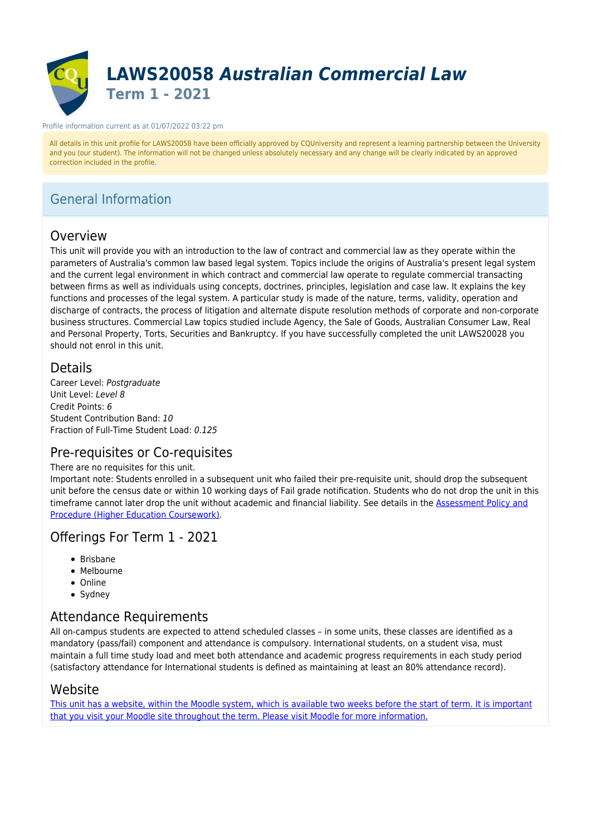

#### Profile information current as at 01/07/2022 03:22 pm

All details in this unit profile for LAWS20058 have been officially approved by CQUniversity and represent a learning partnership between the University and you (our student). The information will not be changed unless absolutely necessary and any change will be clearly indicated by an approved correction included in the profile.

## General Information

### Overview

This unit will provide you with an introduction to the law of contract and commercial law as they operate within the parameters of Australia's common law based legal system. Topics include the origins of Australia's present legal system and the current legal environment in which contract and commercial law operate to regulate commercial transacting between firms as well as individuals using concepts, doctrines, principles, legislation and case law. It explains the key functions and processes of the legal system. A particular study is made of the nature, terms, validity, operation and discharge of contracts, the process of litigation and alternate dispute resolution methods of corporate and non-corporate business structures. Commercial Law topics studied include Agency, the Sale of Goods, Australian Consumer Law, Real and Personal Property, Torts, Securities and Bankruptcy. If you have successfully completed the unit LAWS20028 you should not enrol in this unit.

### Details

Career Level: Postgraduate Unit Level: Level 8 Credit Points: 6 Student Contribution Band: 10 Fraction of Full-Time Student Load: 0.125

### Pre-requisites or Co-requisites

### There are no requisites for this unit.

Important note: Students enrolled in a subsequent unit who failed their pre-requisite unit, should drop the subsequent unit before the census date or within 10 working days of Fail grade notification. Students who do not drop the unit in this timeframe cannot later drop the unit without academic and financial liability. See details in the **Assessment Policy and** [Procedure \(Higher Education Coursework\)](https://www.cqu.edu.au/policy).

### Offerings For Term 1 - 2021

- $\bullet$  Brisbane
- Melbourne
- Online
- Sydney

### Attendance Requirements

All on-campus students are expected to attend scheduled classes – in some units, these classes are identified as a mandatory (pass/fail) component and attendance is compulsory. International students, on a student visa, must maintain a full time study load and meet both attendance and academic progress requirements in each study period (satisfactory attendance for International students is defined as maintaining at least an 80% attendance record).

### Website

[This unit has a website, within the Moodle system, which is available two weeks before the start of term. It is important](https://moodle.cqu.edu.au) [that you visit your Moodle site throughout the term. Please visit Moodle for more information.](https://moodle.cqu.edu.au)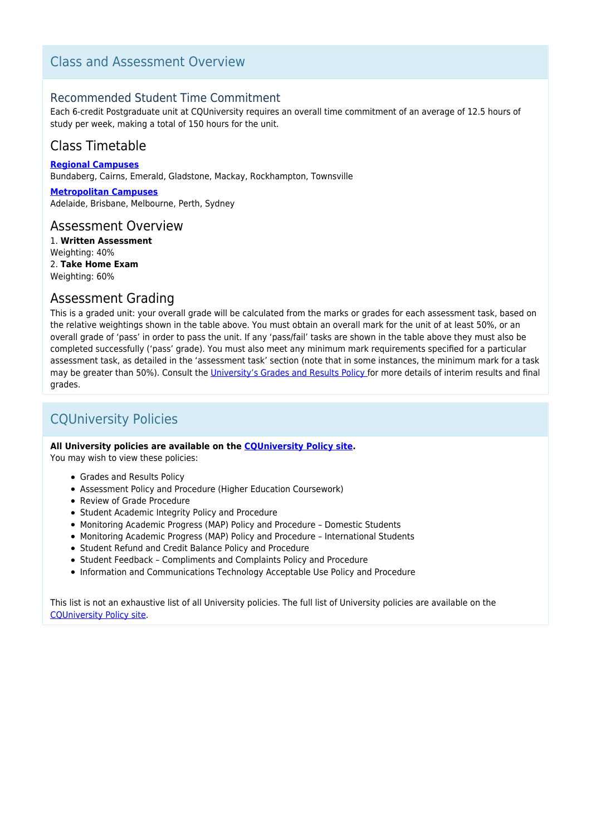## Class and Assessment Overview

### Recommended Student Time Commitment

Each 6-credit Postgraduate unit at CQUniversity requires an overall time commitment of an average of 12.5 hours of study per week, making a total of 150 hours for the unit.

## Class Timetable

**[Regional Campuses](https://handbook.cqu.edu.au/facet/timetables)** Bundaberg, Cairns, Emerald, Gladstone, Mackay, Rockhampton, Townsville

**[Metropolitan Campuses](https://handbook.cqu.edu.au/facet/timetables)** Adelaide, Brisbane, Melbourne, Perth, Sydney

### Assessment Overview

1. **Written Assessment** Weighting: 40% 2. **Take Home Exam** Weighting: 60%

### Assessment Grading

This is a graded unit: your overall grade will be calculated from the marks or grades for each assessment task, based on the relative weightings shown in the table above. You must obtain an overall mark for the unit of at least 50%, or an overall grade of 'pass' in order to pass the unit. If any 'pass/fail' tasks are shown in the table above they must also be completed successfully ('pass' grade). You must also meet any minimum mark requirements specified for a particular assessment task, as detailed in the 'assessment task' section (note that in some instances, the minimum mark for a task may be greater than 50%). Consult the [University's Grades and Results Policy](https://www.cqu.edu.au/policy) for more details of interim results and final grades.

## CQUniversity Policies

### **All University policies are available on the [CQUniversity Policy site.](https://policy.cqu.edu.au/)**

You may wish to view these policies:

- Grades and Results Policy
- Assessment Policy and Procedure (Higher Education Coursework)
- Review of Grade Procedure
- Student Academic Integrity Policy and Procedure
- Monitoring Academic Progress (MAP) Policy and Procedure Domestic Students
- Monitoring Academic Progress (MAP) Policy and Procedure International Students
- Student Refund and Credit Balance Policy and Procedure
- Student Feedback Compliments and Complaints Policy and Procedure
- Information and Communications Technology Acceptable Use Policy and Procedure

This list is not an exhaustive list of all University policies. The full list of University policies are available on the [CQUniversity Policy site.](https://policy.cqu.edu.au/)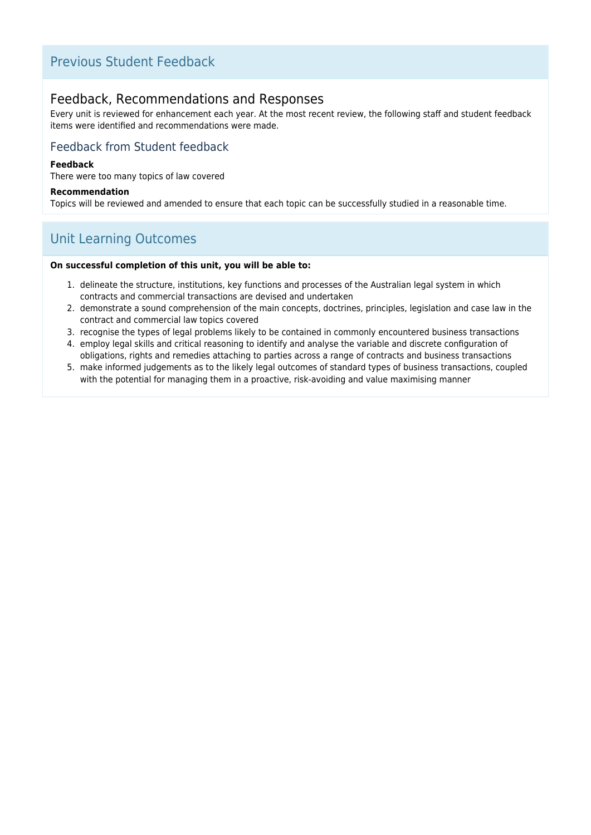## Previous Student Feedback

### Feedback, Recommendations and Responses

Every unit is reviewed for enhancement each year. At the most recent review, the following staff and student feedback items were identified and recommendations were made.

### Feedback from Student feedback

### **Feedback**

There were too many topics of law covered

#### **Recommendation**

Topics will be reviewed and amended to ensure that each topic can be successfully studied in a reasonable time.

## Unit Learning Outcomes

#### **On successful completion of this unit, you will be able to:**

- 1. delineate the structure, institutions, key functions and processes of the Australian legal system in which contracts and commercial transactions are devised and undertaken
- 2. demonstrate a sound comprehension of the main concepts, doctrines, principles, legislation and case law in the contract and commercial law topics covered
- 3. recognise the types of legal problems likely to be contained in commonly encountered business transactions
- 4. employ legal skills and critical reasoning to identify and analyse the variable and discrete configuration of obligations, rights and remedies attaching to parties across a range of contracts and business transactions
- 5. make informed judgements as to the likely legal outcomes of standard types of business transactions, coupled with the potential for managing them in a proactive, risk-avoiding and value maximising manner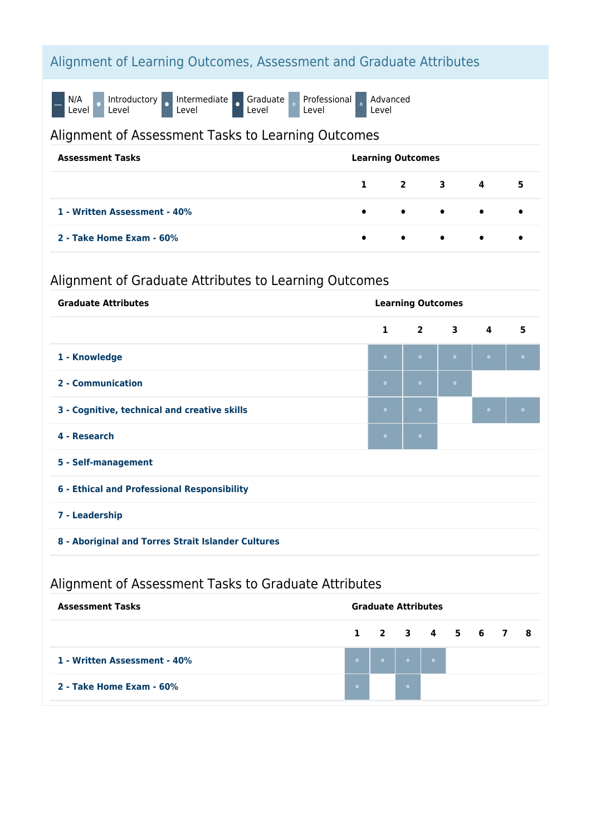# Alignment of Learning Outcomes, Assessment and Graduate Attributes

N/A<br>Level O

Introductory o Intermediate o

Graduate<br>Level

Professional<br>Level Advanced Level

Alignment of Assessment Tasks to Learning Outcomes

| <b>Assessment Tasks</b>      | <b>Learning Outcomes</b> |                                         |  |                             |                         |
|------------------------------|--------------------------|-----------------------------------------|--|-----------------------------|-------------------------|
|                              |                          |                                         |  | $1 \quad 2 \quad 3 \quad 4$ | 5                       |
| 1 - Written Assessment - 40% |                          | $\bullet$ $\bullet$ $\bullet$ $\bullet$ |  |                             | $\bullet$ and $\bullet$ |
| 2 - Take Home Exam - 60%     | $\bullet$                | $\bullet$ $\bullet$ $\bullet$           |  |                             | ٠                       |

# Alignment of Graduate Attributes to Learning Outcomes

| <b>Graduate Attributes</b>                           | <b>Learning Outcomes</b> |                |             |                         |           |  |
|------------------------------------------------------|--------------------------|----------------|-------------|-------------------------|-----------|--|
|                                                      | $\mathbf{1}$             | $\overline{2}$ | $3^{\circ}$ | $\overline{\mathbf{4}}$ | 5         |  |
| 1 - Knowledge                                        | $\circ$                  | $\bullet$      | $\circ$     | $\bullet$               | $\bullet$ |  |
| 2 - Communication                                    | $\circ$                  | $\circ$        | $\circ$     |                         |           |  |
| 3 - Cognitive, technical and creative skills         | $\circ$                  | $\bullet$      |             | $\circ$                 | $\circ$   |  |
| 4 - Research                                         | $\circ$                  | $\circ$        |             |                         |           |  |
| 5 - Self-management                                  |                          |                |             |                         |           |  |
| 6 - Ethical and Professional Responsibility          |                          |                |             |                         |           |  |
| 7 - Leadership                                       |                          |                |             |                         |           |  |
| 8 - Aboriginal and Torres Strait Islander Cultures   |                          |                |             |                         |           |  |
| Alignment of Assessment Tasks to Graduate Attributes |                          |                |             |                         |           |  |

| <b>Assessment Tasks</b>      | <b>Graduate Attributes</b> |                 |                                                                          |  |  |  |  |
|------------------------------|----------------------------|-----------------|--------------------------------------------------------------------------|--|--|--|--|
|                              |                            | 1 2 3 4 5 6 7 8 |                                                                          |  |  |  |  |
| 1 - Written Assessment - 40% | $\bullet$                  |                 | $\begin{array}{ c c c c }\hline \bullet & \bullet & \bullet \end{array}$ |  |  |  |  |
| 2 - Take Home Exam - 60%     | $\circ$                    |                 | $\circ$                                                                  |  |  |  |  |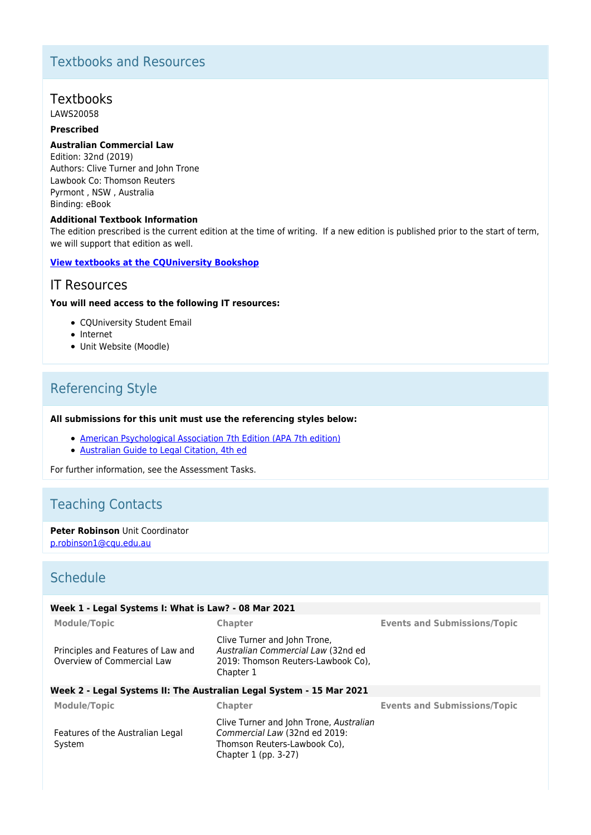## Textbooks and Resources

## **Textbooks**

LAWS20058

### **Prescribed**

#### **Australian Commercial Law**

Edition: 32nd (2019) Authors: Clive Turner and John Trone Lawbook Co: Thomson Reuters Pyrmont , NSW , Australia Binding: eBook

#### **Additional Textbook Information**

The edition prescribed is the current edition at the time of writing. If a new edition is published prior to the start of term, we will support that edition as well.

### **[View textbooks at the CQUniversity Bookshop](https://bookshop.cqu.edu.au/)**

### IT Resources

#### **You will need access to the following IT resources:**

- COUniversity Student Email
- Internet
- Unit Website (Moodle)

## Referencing Style

#### **All submissions for this unit must use the referencing styles below:**

- [American Psychological Association 7th Edition \(APA 7th edition\)](https://delivery-cqucontenthub.stylelabs.cloud/api/public/content/apa-referencing-style.pdf?v=51e1aea7)
- [Australian Guide to Legal Citation, 4th ed](http://law.unimelb.edu.au/mulr/aglc/about)

For further information, see the Assessment Tasks.

# Teaching Contacts

### **Peter Robinson** Unit Coordinator

[p.robinson1@cqu.edu.au](mailto:p.robinson1@cqu.edu.au)

### **Schedule**

| Week 1 - Legal Systems I: What is Law? - 08 Mar 2021             |                                                                                                                                  |                                     |
|------------------------------------------------------------------|----------------------------------------------------------------------------------------------------------------------------------|-------------------------------------|
| <b>Module/Topic</b>                                              | Chapter                                                                                                                          | <b>Events and Submissions/Topic</b> |
| Principles and Features of Law and<br>Overview of Commercial Law | Clive Turner and John Trone,<br>Australian Commercial Law (32nd ed<br>2019: Thomson Reuters-Lawbook Co),<br>Chapter 1            |                                     |
|                                                                  | Week 2 - Legal Systems II: The Australian Legal System - 15 Mar 2021                                                             |                                     |
| <b>Module/Topic</b>                                              | Chapter                                                                                                                          | <b>Events and Submissions/Topic</b> |
| Features of the Australian Legal<br>System                       | Clive Turner and John Trone, Australian<br>Commercial Law (32nd ed 2019:<br>Thomson Reuters-Lawbook Co),<br>Chapter 1 (pp. 3-27) |                                     |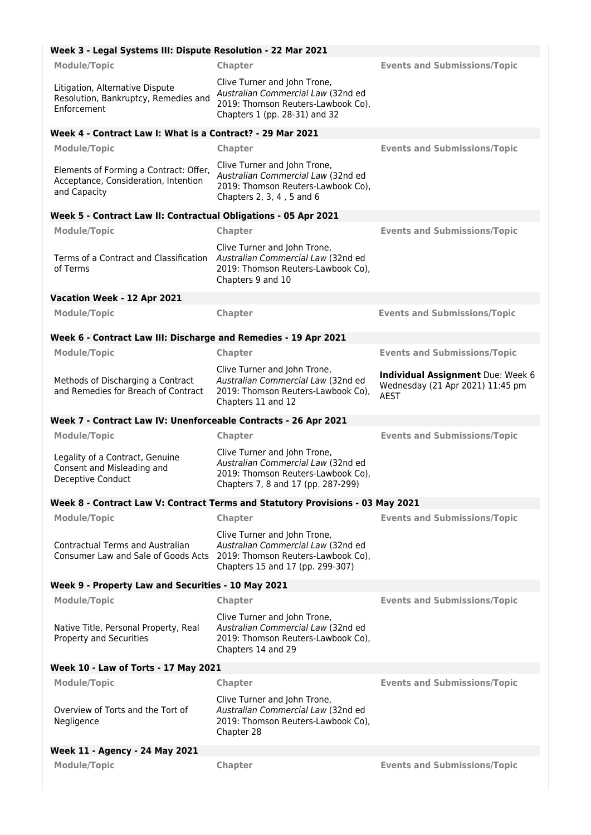### **Week 3 - Legal Systems III: Dispute Resolution - 22 Mar 2021**

| <b>Module/Topic</b>                                                                            | Chapter                                                                                                                                        | <b>Events and Submissions/Topic</b>                                                         |
|------------------------------------------------------------------------------------------------|------------------------------------------------------------------------------------------------------------------------------------------------|---------------------------------------------------------------------------------------------|
| Litigation, Alternative Dispute<br>Resolution, Bankruptcy, Remedies and<br>Enforcement         | Clive Turner and John Trone,<br>Australian Commercial Law (32nd ed<br>2019: Thomson Reuters-Lawbook Co),<br>Chapters 1 (pp. 28-31) and 32      |                                                                                             |
| Week 4 - Contract Law I: What is a Contract? - 29 Mar 2021                                     |                                                                                                                                                |                                                                                             |
| <b>Module/Topic</b>                                                                            | Chapter                                                                                                                                        | <b>Events and Submissions/Topic</b>                                                         |
| Elements of Forming a Contract: Offer,<br>Acceptance, Consideration, Intention<br>and Capacity | Clive Turner and John Trone,<br>Australian Commercial Law (32nd ed<br>2019: Thomson Reuters-Lawbook Co),<br>Chapters 2, 3, 4, 5 and 6          |                                                                                             |
| Week 5 - Contract Law II: Contractual Obligations - 05 Apr 2021                                |                                                                                                                                                |                                                                                             |
| <b>Module/Topic</b>                                                                            | Chapter                                                                                                                                        | <b>Events and Submissions/Topic</b>                                                         |
| Terms of a Contract and Classification<br>of Terms                                             | Clive Turner and John Trone,<br>Australian Commercial Law (32nd ed<br>2019: Thomson Reuters-Lawbook Co),<br>Chapters 9 and 10                  |                                                                                             |
| Vacation Week - 12 Apr 2021                                                                    |                                                                                                                                                |                                                                                             |
| <b>Module/Topic</b>                                                                            | <b>Chapter</b>                                                                                                                                 | <b>Events and Submissions/Topic</b>                                                         |
| Week 6 - Contract Law III: Discharge and Remedies - 19 Apr 2021                                |                                                                                                                                                |                                                                                             |
| <b>Module/Topic</b>                                                                            | Chapter                                                                                                                                        | <b>Events and Submissions/Topic</b>                                                         |
| Methods of Discharging a Contract<br>and Remedies for Breach of Contract                       | Clive Turner and John Trone,<br>Australian Commercial Law (32nd ed<br>2019: Thomson Reuters-Lawbook Co),<br>Chapters 11 and 12                 | <b>Individual Assignment Due: Week 6</b><br>Wednesday (21 Apr 2021) 11:45 pm<br><b>AEST</b> |
| Week 7 - Contract Law IV: Unenforceable Contracts - 26 Apr 2021                                |                                                                                                                                                |                                                                                             |
| <b>Module/Topic</b>                                                                            | <b>Chapter</b>                                                                                                                                 | <b>Events and Submissions/Topic</b>                                                         |
| Legality of a Contract, Genuine<br>Consent and Misleading and<br>Deceptive Conduct             | Clive Turner and John Trone,<br>Australian Commercial Law (32nd ed<br>2019: Thomson Reuters-Lawbook Co),<br>Chapters 7, 8 and 17 (pp. 287-299) |                                                                                             |
|                                                                                                | Week 8 - Contract Law V: Contract Terms and Statutory Provisions - 03 May 2021                                                                 |                                                                                             |
| <b>Module/Topic</b>                                                                            | <b>Chapter</b>                                                                                                                                 | <b>Events and Submissions/Topic</b>                                                         |
| <b>Contractual Terms and Australian</b><br>Consumer Law and Sale of Goods Acts                 | Clive Turner and John Trone,<br>Australian Commercial Law (32nd ed<br>2019: Thomson Reuters-Lawbook Co),<br>Chapters 15 and 17 (pp. 299-307)   |                                                                                             |
| Week 9 - Property Law and Securities - 10 May 2021                                             |                                                                                                                                                |                                                                                             |
| <b>Module/Topic</b>                                                                            | Chapter                                                                                                                                        | <b>Events and Submissions/Topic</b>                                                         |
| Native Title, Personal Property, Real<br>Property and Securities                               | Clive Turner and John Trone,<br>Australian Commercial Law (32nd ed<br>2019: Thomson Reuters-Lawbook Co),<br>Chapters 14 and 29                 |                                                                                             |
| Week 10 - Law of Torts - 17 May 2021                                                           |                                                                                                                                                |                                                                                             |
| <b>Module/Topic</b>                                                                            | Chapter                                                                                                                                        | <b>Events and Submissions/Topic</b>                                                         |
| Overview of Torts and the Tort of<br>Negligence                                                | Clive Turner and John Trone,<br>Australian Commercial Law (32nd ed<br>2019: Thomson Reuters-Lawbook Co),<br>Chapter 28                         |                                                                                             |
| Week 11 - Agency - 24 May 2021                                                                 |                                                                                                                                                |                                                                                             |
| <b>Module/Topic</b>                                                                            | Chapter                                                                                                                                        | <b>Events and Submissions/Topic</b>                                                         |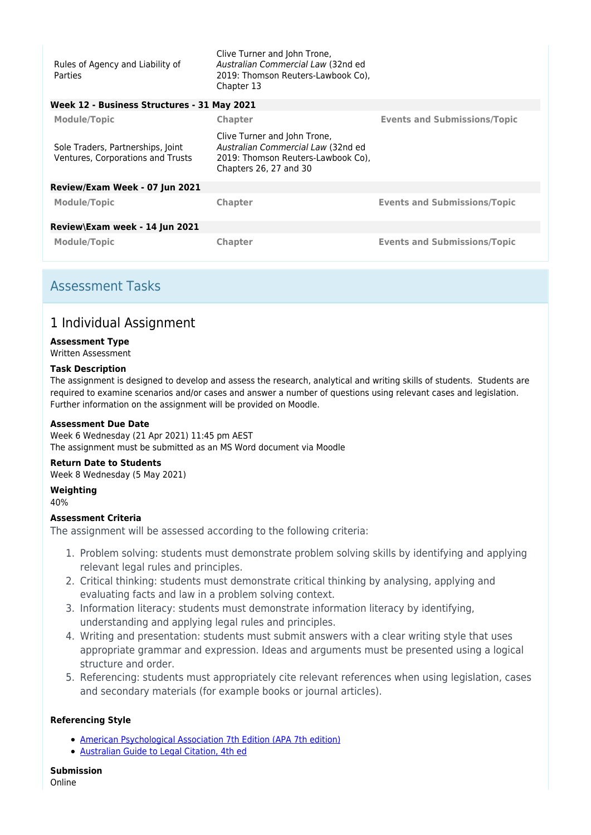| Rules of Agency and Liability of<br><b>Parties</b>                     | Clive Turner and John Trone,<br>Australian Commercial Law (32nd ed<br>2019: Thomson Reuters-Lawbook Co),<br>Chapter 13             |                                     |
|------------------------------------------------------------------------|------------------------------------------------------------------------------------------------------------------------------------|-------------------------------------|
| Week 12 - Business Structures - 31 May 2021                            |                                                                                                                                    |                                     |
| <b>Module/Topic</b>                                                    | <b>Chapter</b>                                                                                                                     | <b>Events and Submissions/Topic</b> |
| Sole Traders, Partnerships, Joint<br>Ventures, Corporations and Trusts | Clive Turner and John Trone,<br>Australian Commercial Law (32nd ed<br>2019: Thomson Reuters-Lawbook Co),<br>Chapters 26, 27 and 30 |                                     |
| Review/Exam Week - 07 Jun 2021                                         |                                                                                                                                    |                                     |
| Module/Topic                                                           | <b>Chapter</b>                                                                                                                     | <b>Events and Submissions/Topic</b> |
| Review\Exam week - 14 Jun 2021                                         |                                                                                                                                    |                                     |
| Module/Topic                                                           | <b>Chapter</b>                                                                                                                     | <b>Events and Submissions/Topic</b> |

## Assessment Tasks

## 1 Individual Assignment

### **Assessment Type**

Written Assessment

### **Task Description**

The assignment is designed to develop and assess the research, analytical and writing skills of students. Students are required to examine scenarios and/or cases and answer a number of questions using relevant cases and legislation. Further information on the assignment will be provided on Moodle.

### **Assessment Due Date**

Week 6 Wednesday (21 Apr 2021) 11:45 pm AEST The assignment must be submitted as an MS Word document via Moodle

### **Return Date to Students**

Week 8 Wednesday (5 May 2021)

### **Weighting**

40%

### **Assessment Criteria**

The assignment will be assessed according to the following criteria:

- 1. Problem solving: students must demonstrate problem solving skills by identifying and applying relevant legal rules and principles.
- 2. Critical thinking: students must demonstrate critical thinking by analysing, applying and evaluating facts and law in a problem solving context.
- 3. Information literacy: students must demonstrate information literacy by identifying, understanding and applying legal rules and principles.
- 4. Writing and presentation: students must submit answers with a clear writing style that uses appropriate grammar and expression. Ideas and arguments must be presented using a logical structure and order.
- 5. Referencing: students must appropriately cite relevant references when using legislation, cases and secondary materials (for example books or journal articles).

### **Referencing Style**

- [American Psychological Association 7th Edition \(APA 7th edition\)](https://delivery-cqucontenthub.stylelabs.cloud/api/public/content/apa-referencing-style.pdf?v=51e1aea7)
- [Australian Guide to Legal Citation, 4th ed](http://law.unimelb.edu.au/mulr/aglc/about)

**Submission** Online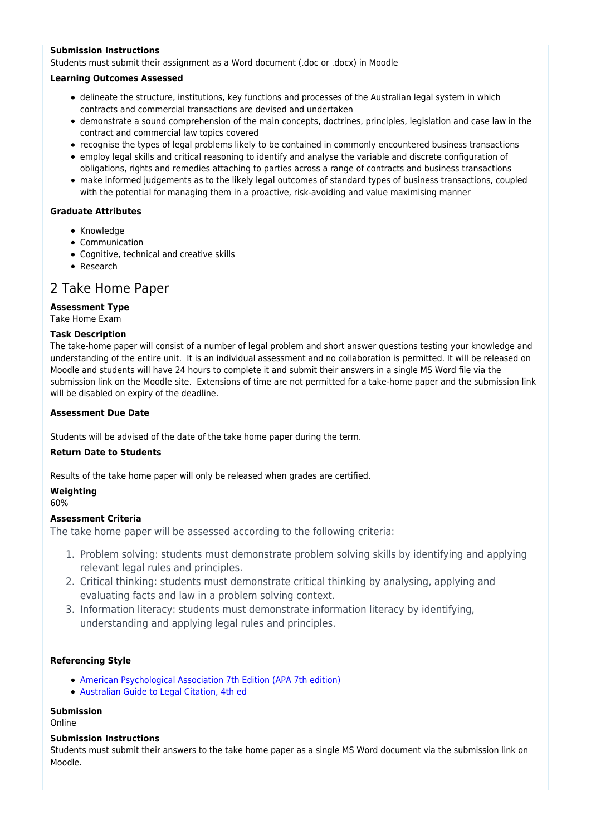### **Submission Instructions**

Students must submit their assignment as a Word document (.doc or .docx) in Moodle

#### **Learning Outcomes Assessed**

- delineate the structure, institutions, key functions and processes of the Australian legal system in which contracts and commercial transactions are devised and undertaken
- demonstrate a sound comprehension of the main concepts, doctrines, principles, legislation and case law in the contract and commercial law topics covered
- recognise the types of legal problems likely to be contained in commonly encountered business transactions
- employ legal skills and critical reasoning to identify and analyse the variable and discrete configuration of obligations, rights and remedies attaching to parties across a range of contracts and business transactions
- make informed judgements as to the likely legal outcomes of standard types of business transactions, coupled with the potential for managing them in a proactive, risk-avoiding and value maximising manner

### **Graduate Attributes**

- Knowledge
- Communication
- Cognitive, technical and creative skills
- Research

### 2 Take Home Paper

### **Assessment Type**

Take Home Exam

### **Task Description**

The take-home paper will consist of a number of legal problem and short answer questions testing your knowledge and understanding of the entire unit. It is an individual assessment and no collaboration is permitted. It will be released on Moodle and students will have 24 hours to complete it and submit their answers in a single MS Word file via the submission link on the Moodle site. Extensions of time are not permitted for a take-home paper and the submission link will be disabled on expiry of the deadline.

### **Assessment Due Date**

Students will be advised of the date of the take home paper during the term.

#### **Return Date to Students**

Results of the take home paper will only be released when grades are certified.

### **Weighting**

60%

### **Assessment Criteria**

The take home paper will be assessed according to the following criteria:

- 1. Problem solving: students must demonstrate problem solving skills by identifying and applying relevant legal rules and principles.
- 2. Critical thinking: students must demonstrate critical thinking by analysing, applying and evaluating facts and law in a problem solving context.
- 3. Information literacy: students must demonstrate information literacy by identifying, understanding and applying legal rules and principles.

### **Referencing Style**

- [American Psychological Association 7th Edition \(APA 7th edition\)](https://delivery-cqucontenthub.stylelabs.cloud/api/public/content/apa-referencing-style.pdf?v=51e1aea7)
- [Australian Guide to Legal Citation, 4th ed](http://law.unimelb.edu.au/mulr/aglc/about)

### **Submission**

Online

### **Submission Instructions**

Students must submit their answers to the take home paper as a single MS Word document via the submission link on Moodle.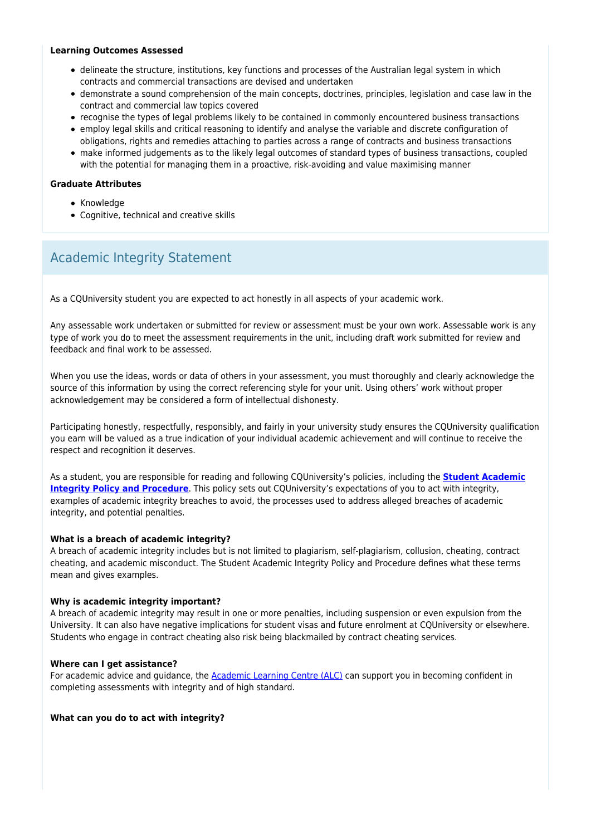#### **Learning Outcomes Assessed**

- delineate the structure, institutions, key functions and processes of the Australian legal system in which contracts and commercial transactions are devised and undertaken
- demonstrate a sound comprehension of the main concepts, doctrines, principles, legislation and case law in the contract and commercial law topics covered
- recognise the types of legal problems likely to be contained in commonly encountered business transactions
- employ legal skills and critical reasoning to identify and analyse the variable and discrete configuration of obligations, rights and remedies attaching to parties across a range of contracts and business transactions
- make informed judgements as to the likely legal outcomes of standard types of business transactions, coupled with the potential for managing them in a proactive, risk-avoiding and value maximising manner

### **Graduate Attributes**

- Knowledge
- Cognitive, technical and creative skills

## Academic Integrity Statement

As a CQUniversity student you are expected to act honestly in all aspects of your academic work.

Any assessable work undertaken or submitted for review or assessment must be your own work. Assessable work is any type of work you do to meet the assessment requirements in the unit, including draft work submitted for review and feedback and final work to be assessed.

When you use the ideas, words or data of others in your assessment, you must thoroughly and clearly acknowledge the source of this information by using the correct referencing style for your unit. Using others' work without proper acknowledgement may be considered a form of intellectual dishonesty.

Participating honestly, respectfully, responsibly, and fairly in your university study ensures the CQUniversity qualification you earn will be valued as a true indication of your individual academic achievement and will continue to receive the respect and recognition it deserves.

As a student, you are responsible for reading and following CQUniversity's policies, including the **[Student Academic](https://www.cqu.edu.au/policy/sharepoint-document-download?file_uri={BE8380F3-F86D-4C55-AC0D-84A81EAFD6A2}/Student%20Academic%20Integrity%20Policy%20and%20Procedure%20(formerly%20known%20as%20the%20Academic%20Misconduct%20Procedure).pdf) [Integrity Policy and Procedure](https://www.cqu.edu.au/policy/sharepoint-document-download?file_uri={BE8380F3-F86D-4C55-AC0D-84A81EAFD6A2}/Student%20Academic%20Integrity%20Policy%20and%20Procedure%20(formerly%20known%20as%20the%20Academic%20Misconduct%20Procedure).pdf)**. This policy sets out CQUniversity's expectations of you to act with integrity, examples of academic integrity breaches to avoid, the processes used to address alleged breaches of academic integrity, and potential penalties.

### **What is a breach of academic integrity?**

A breach of academic integrity includes but is not limited to plagiarism, self-plagiarism, collusion, cheating, contract cheating, and academic misconduct. The Student Academic Integrity Policy and Procedure defines what these terms mean and gives examples.

### **Why is academic integrity important?**

A breach of academic integrity may result in one or more penalties, including suspension or even expulsion from the University. It can also have negative implications for student visas and future enrolment at CQUniversity or elsewhere. Students who engage in contract cheating also risk being blackmailed by contract cheating services.

#### **Where can I get assistance?**

For academic advice and guidance, the [Academic Learning Centre \(ALC\)](https://www.cqu.edu.au/student-life/academic-learning-centre) can support you in becoming confident in completing assessments with integrity and of high standard.

**What can you do to act with integrity?**